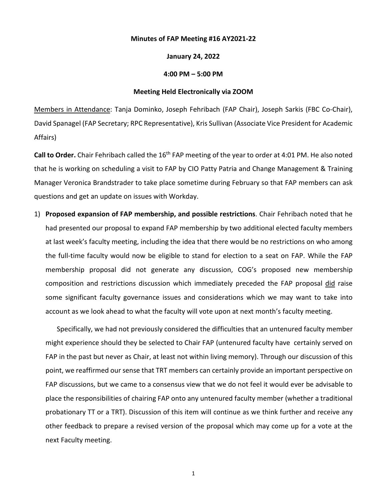## **Minutes of FAP Meeting #16 AY2021-22**

## **January 24, 2022**

## **4:00 PM – 5:00 PM**

## **Meeting Held Electronically via ZOOM**

Members in Attendance: Tanja Dominko, Joseph Fehribach (FAP Chair), Joseph Sarkis (FBC Co-Chair), David Spanagel (FAP Secretary; RPC Representative), Kris Sullivan (Associate Vice President for Academic Affairs)

Call to Order. Chair Fehribach called the 16<sup>th</sup> FAP meeting of the year to order at 4:01 PM. He also noted that he is working on scheduling a visit to FAP by CIO Patty Patria and Change Management & Training Manager Veronica Brandstrader to take place sometime during February so that FAP members can ask questions and get an update on issues with Workday.

1) **Proposed expansion of FAP membership, and possible restrictions**. Chair Fehribach noted that he had presented our proposal to expand FAP membership by two additional elected faculty members at last week's faculty meeting, including the idea that there would be no restrictions on who among the full-time faculty would now be eligible to stand for election to a seat on FAP. While the FAP membership proposal did not generate any discussion, COG's proposed new membership composition and restrictions discussion which immediately preceded the FAP proposal did raise some significant faculty governance issues and considerations which we may want to take into account as we look ahead to what the faculty will vote upon at next month's faculty meeting.

Specifically, we had not previously considered the difficulties that an untenured faculty member might experience should they be selected to Chair FAP (untenured faculty have certainly served on FAP in the past but never as Chair, at least not within living memory). Through our discussion of this point, we reaffirmed our sense that TRT members can certainly provide an important perspective on FAP discussions, but we came to a consensus view that we do not feel it would ever be advisable to place the responsibilities of chairing FAP onto any untenured faculty member (whether a traditional probationary TT or a TRT). Discussion of this item will continue as we think further and receive any other feedback to prepare a revised version of the proposal which may come up for a vote at the next Faculty meeting.